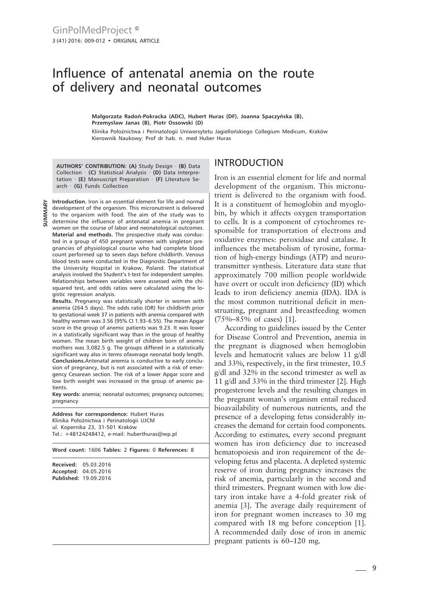# Influence of antenatal anemia on the route of delivery and neonatal outcomes

**Małgorzata Radoń-Pokracka (ADC), Hubert Huras (DF), Joanna Spaczyńska (B), Przemysław Janas (B), Piotr Ossowski (D)**

Klinika Położnictwa i Perinatologii Uniwersytetu Jagiellońskiego Collegium Medicum, Kraków Kierownik Naukowy: Prof dr hab. n. med Huber Huras

**AUTHORS' CONTRIBUTION: (A)** Study Design · **(B)** Data Collection · **(C)** Statistical Analysis · **(D)** Data Interpretation · **(E)** Manuscript Preparation · **(F)** Literature Search · **(G)** Funds Collection

**Introduction.** Iron is an essential element for life and normal development of the organism. This micronutrient is delivered to the organism with food. The aim of the study was to determine the influence of antenatal anemia in pregnant women on the course of labor and neonatological outcomes. **Material and methods.** The prospective study was conducted in a group of 450 pregnant women with singleton pregnancies of physiological course who had complete blood count performed up to seven days before childbirth. Venous blood tests were conducted in the Diagnostic Department of the University Hospital in Krakow, Poland. The statistical analysis involved the Student's t-test for independent samples. Relationships between variables were assessed with the chisquared test, and odds ratios were calculated using the logistic regression analysis.

**Results.** Pregnancy was statistically shorter in women with anemia (264.5 days). The odds ratio (OR) for childbirth prior to gestational week 37 in patients with anemia compared with healthy women was 3.56 (95% CI 1.93–6.55). The mean Apgar score in the group of anemic patients was 9.23. It was lower in a statistically significant way than in the group of healthy women. The mean birth weight of children born of anemic mothers was 3,082.5 g. The groups differed in a statistically significant way also in terms ofaverage neonatal body length. **Conclusions.**Antenatal anemia is conductive to early conclusion of pregnancy, but is not associated with a risk of emergency Cesarean section. The risk of a lower Apgar score and low birth weight was increased in the group of anemic patients.

**Key words:** anemia; neonatal outcomes; pregnancy outcomes; pregnancy

**Address for correspondence:** Hubert Huras Klinika Położnictwa i Perinatologii UJCM ul. Kopernika 23, 31-501 Kraków Tel.: +48124248412, e-mail: huberthuras@wp.pl

**Word count:** 1606 **Tables:** 2 **Figures:** 0 **References:** 8

**Received:** 05.03.2016 **Accepted:** 04.05.2016 **Published:** 19.09.2016

#### INTRODUCTION

Iron is an essential element for life and normal development of the organism. This micronutrient is delivered to the organism with food. It is a constituent of hemoglobin and myoglobin, by which it affects oxygen transportation to cells. It is a component of cytochromes responsible for transportation of electrons and oxidative enzymes: peroxidase and catalase. It influences the metabolism of tyrosine, formation of high-energy bindings (ATP) and neurotransmitter synthesis. Literature data state that approximately 700 million people worldwide have overt or occult iron deficiency (ID) which leads to iron deficiency anemia (IDA). IDA is the most common nutritional deficit in menstruating, pregnant and breastfeeding women (75%–85% of cases) [1].

According to guidelines issued by the Center for Disease Control and Prevention, anemia in the pregnant is diagnosed when hemoglobin levels and hematocrit values are below 11 g/dl and 33%, respectively, in the first trimester, 10.5 g/dl and 32% in the second trimester as well as 11 g/dl and 33% in the third trimester [2]. High progesterone levels and the resulting changes in the pregnant woman's organism entail reduced bioavailability of numerous nutrients, and the presence of a developing fetus considerably increases the demand for certain food components. According to estimates, every second pregnant women has iron deficiency due to increased hematopoiesis and iron requirement of the developing fetus and placenta. A depleted systemic reserve of iron during pregnancy increases the risk of anemia, particularly in the second and third trimesters. Pregnant women with low dietary iron intake have a 4-fold greater risk of anemia [3]. The average daily requirement of iron for pregnant women increases to 30 mg compared with 18 mg before conception [1]. A recommended daily dose of iron in anemic pregnant patients is 60–120 mg.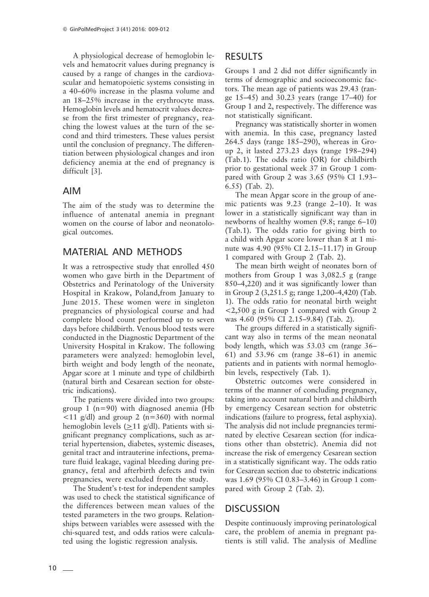A physiological decrease of hemoglobin levels and hematocrit values during pregnancy is caused by a range of changes in the cardiovascular and hematopoietic systems consisting in a 40–60% increase in the plasma volume and an 18–25% increase in the erythrocyte mass. Hemoglobin levels and hematocrit values decrease from the first trimester of pregnancy, reaching the lowest values at the turn of the second and third trimesters. These values persist until the conclusion of pregnancy. The differentiation between physiological changes and iron deficiency anemia at the end of pregnancy is difficult [3].

#### AIM

The aim of the study was to determine the influence of antenatal anemia in pregnant women on the course of labor and neonatological outcomes.

### MATERIAL AND METHODS

It was a retrospective study that enrolled 450 women who gave birth in the Department of Obstetrics and Perinatology of the University Hospital in Krakow, Poland,from January to June 2015. These women were in singleton pregnancies of physiological course and had complete blood count performed up to seven days before childbirth. Venous blood tests were conducted in the Diagnostic Department of the University Hospital in Krakow. The following parameters were analyzed: hemoglobin level, birth weight and body length of the neonate, Apgar score at 1 minute and type of childbirth (natural birth and Cesarean section for obstetric indications).

The patients were divided into two groups: group 1 (n=90) with diagnosed anemia (Hb  $\langle 11 \text{ g/d} \rangle$  and group 2 (n=360) with normal hemoglobin levels  $(\geq 11 \text{ g/d})$ . Patients with significant pregnancy complications, such as arterial hypertension, diabetes, systemic diseases, genital tract and intrauterine infections, premature fluid leakage, vaginal bleeding during pregnancy, fetal and afterbirth defects and twin pregnancies, were excluded from the study.

The Student's t-test for independent samples was used to check the statistical significance of the differences between mean values of the tested parameters in the two groups. Relationships between variables were assessed with the chi-squared test, and odds ratios were calculated using the logistic regression analysis.

## RESULTS

Groups 1 and 2 did not differ significantly in terms of demographic and socioeconomic factors. The mean age of patients was 29.43 (range 15–45) and 30.23 years (range 17–40) for Group 1 and 2, respectively. The difference was not statistically significant.

Pregnancy was statistically shorter in women with anemia. In this case, pregnancy lasted 264.5 days (range 185–290), whereas in Group 2, it lasted 273.23 days (range 198–294) (Tab.1). The odds ratio (OR) for childbirth prior to gestational week 37 in Group 1 compared with Group 2 was 3.65 (95% CI 1.93– 6.55) (Tab. 2).

The mean Apgar score in the group of anemic patients was 9.23 (range 2–10). It was lower in a statistically significant way than in newborns of healthy women (9.8; range 6–10) (Tab.1). The odds ratio for giving birth to a child with Apgar score lower than 8 at 1 minute was 4.90 (95% CI 2.15–11.17) in Group 1 compared with Group 2 (Tab. 2).

The mean birth weight of neonates born of mothers from Group 1 was 3,082.5 g (range 850–4,220) and it was significantly lower than in Group 2 (3,251.5 g; range 1,200–4,420) (Tab. 1). The odds ratio for neonatal birth weight <2,500 g in Group 1 compared with Group 2 was 4.60 (95% CI 2.15–9.84) (Tab. 2).

The groups differed in a statistically significant way also in terms of the mean neonatal body length, which was 53.03 cm (range 36– 61) and 53.96 cm (range 38–61) in anemic patients and in patients with normal hemoglobin levels, respectively (Tab. 1).

Obstetric outcomes were considered in terms of the manner of concluding pregnancy, taking into account natural birth and childbirth by emergency Cesarean section for obstetric indications (failure to progress, fetal asphyxia). The analysis did not include pregnancies terminated by elective Cesarean section (for indications other than obstetric). Anemia did not increase the risk of emergency Cesarean section in a statistically significant way. The odds ratio for Cesarean section due to obstetric indications was 1.69 (95% CI 0.83–3.46) in Group 1 compared with Group 2 (Tab. 2).

## **DISCUSSION**

Despite continuously improving perinatological care, the problem of anemia in pregnant patients is still valid. The analysis of Medline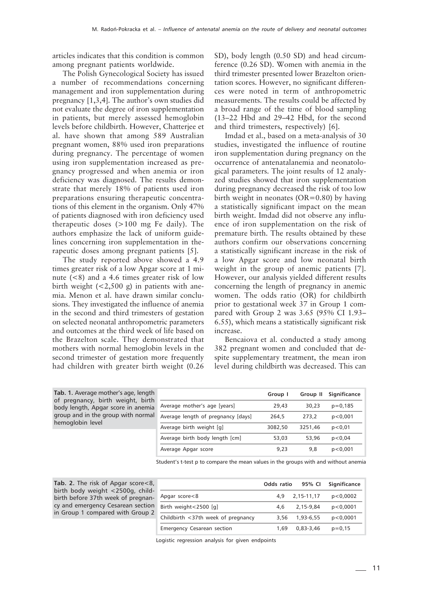articles indicates that this condition is common among pregnant patients worldwide.

The Polish Gynecological Society has issued a number of recommendations concerning management and iron supplementation during pregnancy [1,3,4]. The author's own studies did not evaluate the degree of iron supplementation in patients, but merely assessed hemoglobin levels before childbirth. However, Chatterjee et al. have shown that among 589 Australian pregnant women, 88% used iron preparations during pregnancy. The percentage of women using iron supplementation increased as pregnancy progressed and when anemia or iron deficiency was diagnosed. The results demonstrate that merely 18% of patients used iron preparations ensuring therapeutic concentrations of this element in the organism. Only 47% of patients diagnosed with iron deficiency used therapeutic doses (>100 mg Fe daily). The authors emphasize the lack of uniform guidelines concerning iron supplementation in therapeutic doses among pregnant patients [5].

The study reported above showed a 4.9 times greater risk of a low Apgar score at 1 minute (<8) and a 4.6 times greater risk of low birth weight  $\left($  < 2,500 g) in patients with anemia. Menon et al. have drawn similar conclusions. They investigated the influence of anemia in the second and third trimesters of gestation on selected neonatal anthropometric parameters and outcomes at the third week of life based on the Brazelton scale. They demonstrated that mothers with normal hemoglobin levels in the second trimester of gestation more frequently had children with greater birth weight (0.26 SD), body length (0.50 SD) and head circumference (0.26 SD). Women with anemia in the third trimester presented lower Brazelton orientation scores. However, no significant differences were noted in term of anthropometric measurements. The results could be affected by a broad range of the time of blood sampling (13–22 Hbd and 29–42 Hbd, for the second and third trimesters, respectively) [6].

Imdad et al., based on a meta-analysis of 30 studies, investigated the influence of routine iron supplementation during pregnancy on the occurrence of antenatalanemia and neonatological parameters. The joint results of 12 analyzed studies showed that iron supplementation during pregnancy decreased the risk of too low birth weight in neonates  $(OR=0.80)$  by having a statistically significant impact on the mean birth weight. Imdad did not observe any influence of iron supplementation on the risk of premature birth. The results obtained by these authors confirm our observations concerning a statistically significant increase in the risk of a low Apgar score and low neonatal birth weight in the group of anemic patients [7]. However, our analysis yielded different results concerning the length of pregnancy in anemic women. The odds ratio (OR) for childbirth prior to gestational week 37 in Group 1 compared with Group 2 was 3.65 (95% CI 1.93– 6.55), which means a statistically significant risk increase.

Bencaiova et al. conducted a study among 382 pregnant women and concluded that despite supplementary treatment, the mean iron level during childbirth was decreased. This can

**Tab. 1.** Average mother's age, length of pregnancy, birth weight, birth body length, Apgar score in anemia group and in the group with normal hemoglobin level

|                                    | Group 1 | Group II | Significance |
|------------------------------------|---------|----------|--------------|
| Average mother's age [years]       | 29,43   | 30,23    | $p=0,185$    |
| Average length of pregnancy [days] | 264,5   | 273.2    | p < 0.001    |
| Average birth weight [g]           | 3082,50 | 3251,46  | p < 0.01     |
| Average birth body length [cm]     | 53,03   | 53,96    | p < 0.04     |
| Average Apgar score                | 9,23    | 9,8      | p < 0.001    |

Student's t-test p to compare the mean values in the groups with and without anemia

**Tab. 2.** The risk of Apgar score<8, birth body weight <2500g, childbirth before 37th week of pregnancy and emergency Cesarean section in Group 1 compared with Group 2

|                                    | Odds ratio | 95% CI        | Significance |
|------------------------------------|------------|---------------|--------------|
| Apgar score<8                      | 4.9        | 2.15-11.17    | p < 0.0002   |
| Birth weight<2500 [g]              | 4.6        | 2.15-9.84     | p<0,0001     |
| Childbirth <37th week of pregnancy | 3.56       | 1.93-6.55     | p < 0,0001   |
| Emergency Cesarean section         | 1.69       | $0.83 - 3.46$ | $p=0,15$     |

Logistic regression analysis for given endpoints